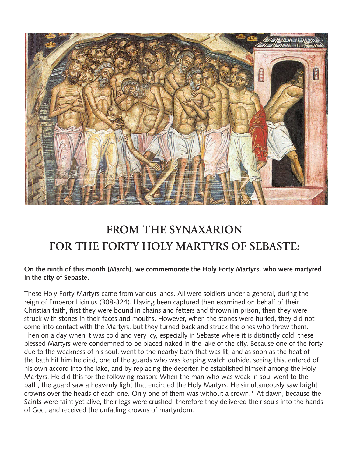

## **FROM THE SYNAXARION FOR THE FORTY HOLY MARTYRS OF SEBASTE:**

## **On the ninth of this month [March], we commemorate the Holy Forty Martyrs, who were martyred in the city of Sebaste.**

These Holy Forty Martyrs came from various lands. All were soldiers under a general, during the reign of Emperor Licinius (308-324). Having been captured then examined on behalf of their Christian faith, first they were bound in chains and fetters and thrown in prison, then they were struck with stones in their faces and mouths. However, when the stones were hurled, they did not come into contact with the Martyrs, but they turned back and struck the ones who threw them. Then on a day when it was cold and very icy, especially in Sebaste where it is distinctly cold, these blessed Martyrs were condemned to be placed naked in the lake of the city. Because one of the forty, due to the weakness of his soul, went to the nearby bath that was lit, and as soon as the heat of the bath hit him he died, one of the guards who was keeping watch outside, seeing this, entered of his own accord into the lake, and by replacing the deserter, he established himself among the Holy Martyrs. He did this for the following reason: When the man who was weak in soul went to the bath, the guard saw a heavenly light that encircled the Holy Martyrs. He simultaneously saw bright crowns over the heads of each one. Only one of them was without a crown.\* At dawn, because the Saints were faint yet alive, their legs were crushed, therefore they delivered their souls into the hands of God, and received the unfading crowns of martyrdom.